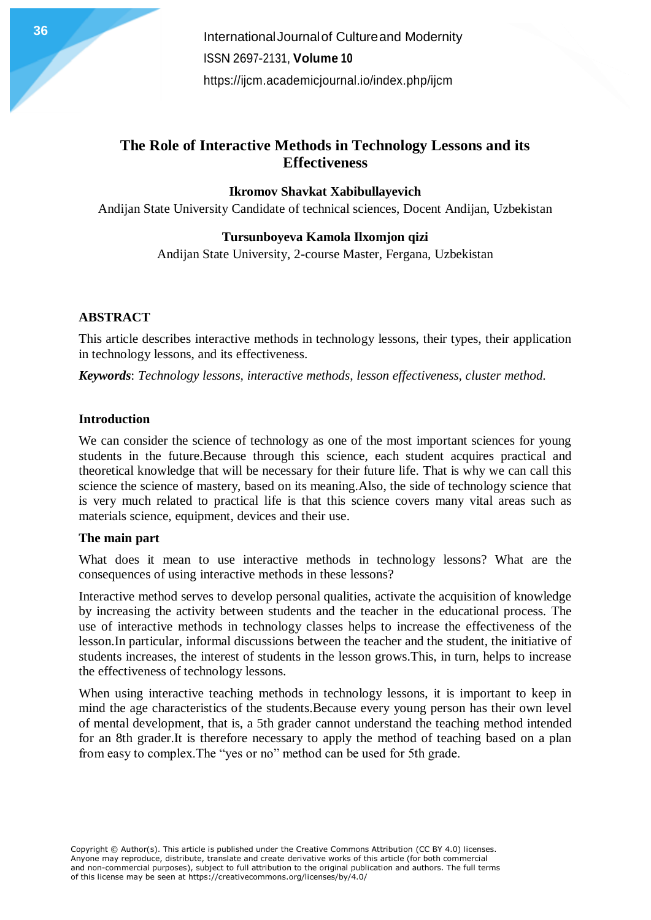**International Journal of Cultureand Modernity** ISSN 2697-2131, **Volume 10** <https://ijcm.academicjournal.io/index.php/ijcm>

# **The Role of Interactive Methods in Technology Lessons and its Effectiveness**

**Ikromov Shavkat Xabibullayevich**

Andijan State University Candidate of technical sciences, Docent Andijan, Uzbekistan

## **Tursunboyeva Kamola Ilxomjon qizi**

Andijan State University, 2-course Master, Fergana, Uzbekistan

## **ABSTRACT**

This article describes interactive methods in technology lessons, their types, their application in technology lessons, and its effectiveness.

*Keywords*: *Technology lessons, interactive methods, lesson effectiveness, cluster method.*

#### **Introduction**

We can consider the science of technology as one of the most important sciences for young students in the future.Because through this science, each student acquires practical and theoretical knowledge that will be necessary for their future life. That is why we can call this science the science of mastery, based on its meaning.Also, the side of technology science that is very much related to practical life is that this science covers many vital areas such as materials science, equipment, devices and their use.

#### **The main part**

What does it mean to use interactive methods in technology lessons? What are the consequences of using interactive methods in these lessons?

Interactive method serves to develop personal qualities, activate the acquisition of knowledge by increasing the activity between students and the teacher in the educational process. The use of interactive methods in technology classes helps to increase the effectiveness of the lesson.In particular, informal discussions between the teacher and the student, the initiative of students increases, the interest of students in the lesson grows.This, in turn, helps to increase the effectiveness of technology lessons.

When using interactive teaching methods in technology lessons, it is important to keep in mind the age characteristics of the students.Because every young person has their own level of mental development, that is, a 5th grader cannot understand the teaching method intended for an 8th grader.It is therefore necessary to apply the method of teaching based on a plan from easy to complex.The "yes or no" method can be used for 5th grade.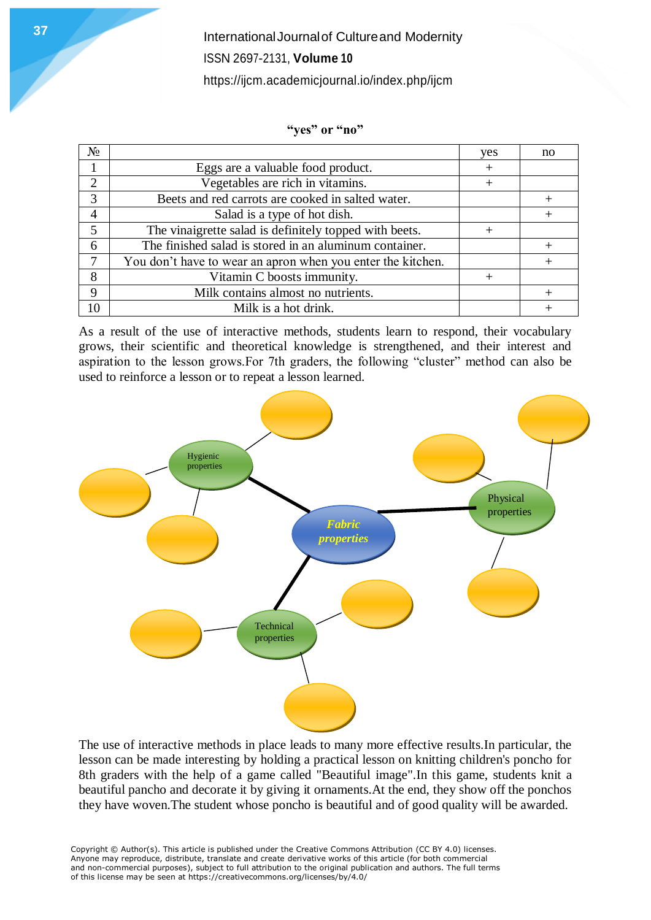**International Journal of Cultureand Modernity** ISSN 2697-2131, **Volume 10** <https://ijcm.academicjournal.io/index.php/ijcm>

#### **"yes" or "no"**

| $N_2$                       |                                                             | ves | no |
|-----------------------------|-------------------------------------------------------------|-----|----|
|                             | Eggs are a valuable food product.                           |     |    |
| $\mathcal{D}_{\mathcal{A}}$ | Vegetables are rich in vitamins.                            |     |    |
| 3                           | Beets and red carrots are cooked in salted water.           |     |    |
| 4                           | Salad is a type of hot dish.                                |     |    |
|                             | The vinaigrette salad is definitely topped with beets.      |     |    |
| 6                           | The finished salad is stored in an aluminum container.      |     |    |
| 7                           | You don't have to wear an apron when you enter the kitchen. |     |    |
| 8                           | Vitamin C boosts immunity.                                  |     |    |
| 9                           | Milk contains almost no nutrients.                          |     |    |
| 10                          | Milk is a hot drink.                                        |     |    |

As a result of the use of interactive methods, students learn to respond, their vocabulary grows, their scientific and theoretical knowledge is strengthened, and their interest and aspiration to the lesson grows.For 7th graders, the following "cluster" method can also be used to reinforce a lesson or to repeat a lesson learned.



The use of interactive methods in place leads to many more effective results.In particular, the lesson can be made interesting by holding a practical lesson on knitting children's poncho for 8th graders with the help of a game called "Beautiful image".In this game, students knit a beautiful pancho and decorate it by giving it ornaments.At the end, they show off the ponchos they have woven.The student whose poncho is beautiful and of good quality will be awarded.